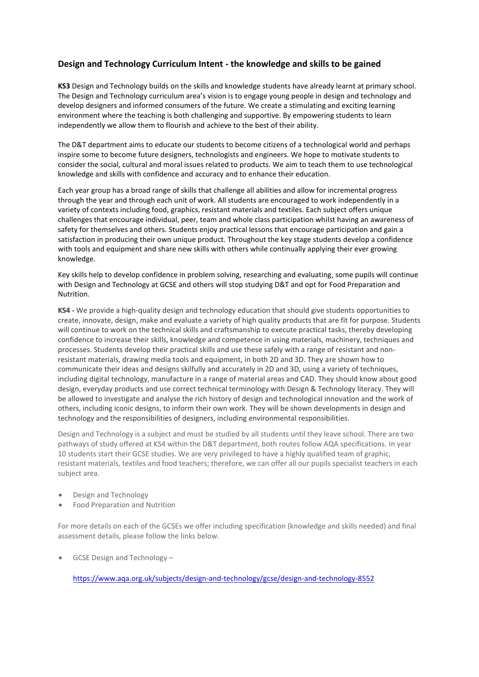## **Design and Technology Curriculum Intent - the knowledge and skills to be gained**

**KS3** Design and Technology builds on the skills and knowledge students have already learnt at primary school. The Design and Technology curriculum area's vision is to engage young people in design and technology and develop designers and informed consumers of the future. We create a stimulating and exciting learning environment where the teaching is both challenging and supportive. By empowering students to learn independently we allow them to flourish and achieve to the best of their ability.

The D&T department aims to educate our students to become citizens of a technological world and perhaps inspire some to become future designers, technologists and engineers. We hope to motivate students to consider the social, cultural and moral issues related to products. We aim to teach them to use technological knowledge and skills with confidence and accuracy and to enhance their education.

Each year group has a broad range of skills that challenge all abilities and allow for incremental progress through the year and through each unit of work. All students are encouraged to work independently in a variety of contexts including food, graphics, resistant materials and textiles. Each subject offers unique challenges that encourage individual, peer, team and whole class participation whilst having an awareness of safety for themselves and others. Students enjoy practical lessons that encourage participation and gain a satisfaction in producing their own unique product. Throughout the key stage students develop a confidence with tools and equipment and share new skills with others while continually applying their ever growing knowledge.

Key skills help to develop confidence in problem solving, researching and evaluating, some pupils will continue with Design and Technology at GCSE and others will stop studying D&T and opt for Food Preparation and Nutrition.

**KS4 -** We provide a high-quality design and technology education that should give students opportunities to create, innovate, design, make and evaluate a variety of high quality products that are fit for purpose. Students will continue to work on the technical skills and craftsmanship to execute practical tasks, thereby developing confidence to increase their skills, knowledge and competence in using materials, machinery, techniques and processes. Students develop their practical skills and use these safely with a range of resistant and nonresistant materials, drawing media tools and equipment, in both 2D and 3D. They are shown how to communicate their ideas and designs skilfully and accurately in 2D and 3D, using a variety of techniques, including digital technology, manufacture in a range of material areas and CAD. They should know about good design, everyday products and use correct technical terminology with Design & Technology literacy. They will be allowed to investigate and analyse the rich history of design and technological innovation and the work of others, including iconic designs, to inform their own work. They will be shown developments in design and technology and the responsibilities of designers, including environmental responsibilities.

Design and Technology is a subject and must be studied by all students until they leave school. There are two pathways of study offered at KS4 within the D&T department, both routes follow AQA specifications. In year 10 students start their GCSE studies. We are very privileged to have a highly qualified team of graphic, resistant materials, textiles and food teachers; therefore, we can offer all our pupils specialist teachers in each subject area.

- Design and Technology
- Food Preparation and Nutrition

For more details on each of the GCSEs we offer including specification (knowledge and skills needed) and final assessment details, please follow the links below.

GCSE Design and Technology -

<https://www.aqa.org.uk/subjects/design-and-technology/gcse/design-and-technology-8552>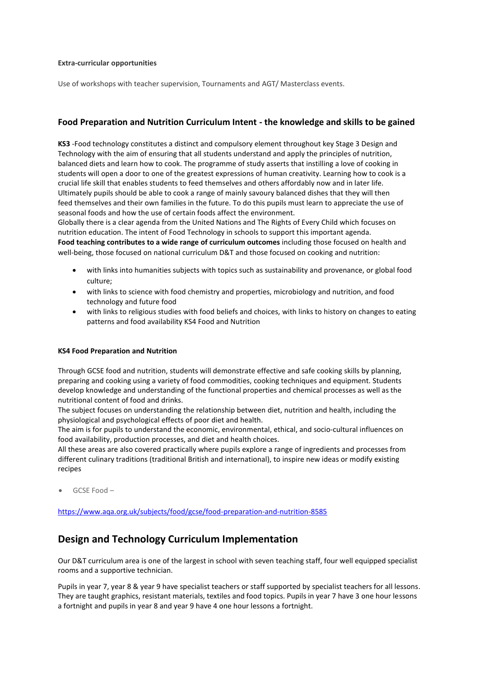### **Extra-curricular opportunities**

Use of workshops with teacher supervision, Tournaments and AGT/ Masterclass events.

### **Food Preparation and Nutrition Curriculum Intent - the knowledge and skills to be gained**

**KS3** -Food technology constitutes a distinct and compulsory element throughout key Stage 3 Design and Technology with the aim of ensuring that all students understand and apply the principles of nutrition, balanced diets and learn how to cook. The programme of study asserts that instilling a love of cooking in students will open a door to one of the greatest expressions of human creativity. Learning how to cook is a crucial life skill that enables students to feed themselves and others affordably now and in later life. Ultimately pupils should be able to cook a range of mainly savoury balanced dishes that they will then feed themselves and their own families in the future. To do this pupils must learn to appreciate the use of seasonal foods and how the use of certain foods affect the environment.

Globally there is a clear agenda from the United Nations and The Rights of Every Child which focuses on nutrition education. The intent of Food Technology in schools to support this important agenda. **Food teaching contributes to a wide range of curriculum outcomes** including those focused on health and well-being, those focused on national curriculum D&T and those focused on cooking and nutrition:

- with links into humanities subjects with topics such as sustainability and provenance, or global food culture;
- with links to science with food chemistry and properties, microbiology and nutrition, and food technology and future food
- with links to religious studies with food beliefs and choices, with links to history on changes to eating patterns and food availability KS4 Food and Nutrition

#### **KS4 Food Preparation and Nutrition**

Through GCSE food and nutrition, students will demonstrate effective and safe cooking skills by planning, preparing and cooking using a variety of food commodities, cooking techniques and equipment. Students develop knowledge and understanding of the functional properties and chemical processes as well as the nutritional content of food and drinks.

The subject focuses on understanding the relationship between diet, nutrition and health, including the physiological and psychological effects of poor diet and health.

The aim is for pupils to understand the economic, environmental, ethical, and socio-cultural influences on food availability, production processes, and diet and health choices.

All these areas are also covered practically where pupils explore a range of ingredients and processes from different culinary traditions (traditional British and international), to inspire new ideas or modify existing recipes

GCSE Food –

<https://www.aqa.org.uk/subjects/food/gcse/food-preparation-and-nutrition-8585>

# **Design and Technology Curriculum Implementation**

Our D&T curriculum area is one of the largest in school with seven teaching staff, four well equipped specialist rooms and a supportive technician.

Pupils in year 7, year 8 & year 9 have specialist teachers or staff supported by specialist teachers for all lessons. They are taught graphics, resistant materials, textiles and food topics. Pupils in year 7 have 3 one hour lessons a fortnight and pupils in year 8 and year 9 have 4 one hour lessons a fortnight.